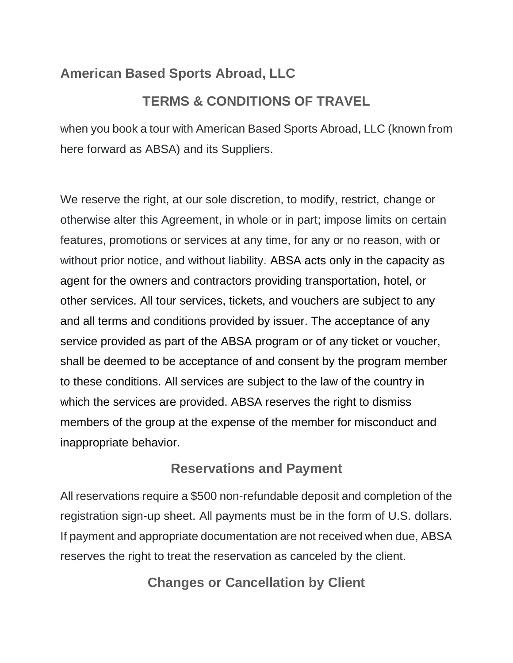### **American Based Sports Abroad, LLC**

### **TERMS & CONDITIONS OF TRAVEL**

when you book a tour with American Based Sports Abroad, LLC (known from here forward as ABSA) and its Suppliers.

We reserve the right, at our sole discretion, to modify, restrict, change or otherwise alter this Agreement, in whole or in part; impose limits on certain features, promotions or services at any time, for any or no reason, with or without prior notice, and without liability. ABSA acts only in the capacity as agent for the owners and contractors providing transportation, hotel, or other services. All tour services, tickets, and vouchers are subject to any and all terms and conditions provided by issuer. The acceptance of any service provided as part of the ABSA program or of any ticket or voucher, shall be deemed to be acceptance of and consent by the program member to these conditions. All services are subject to the law of the country in which the services are provided. ABSA reserves the right to dismiss members of the group at the expense of the member for misconduct and inappropriate behavior.

#### **Reservations and Payment**

All reservations require a \$500 non-refundable deposit and completion of the registration sign-up sheet. All payments must be in the form of U.S. dollars. If payment and appropriate documentation are not received when due, ABSA reserves the right to treat the reservation as canceled by the client.

**Changes or Cancellation by Client**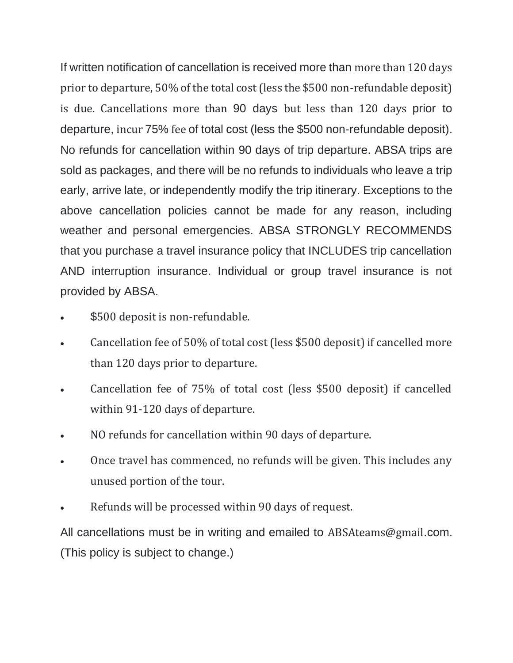If written notification of cancellation is received more than more than 120 days prior to departure, 50% of the total cost (less the \$500 non-refundable deposit) is due. Cancellations more than 90 days but less than 120 days prior to departure, incur 75% fee of total cost (less the \$500 non-refundable deposit). No refunds for cancellation within 90 days of trip departure. ABSA trips are sold as packages, and there will be no refunds to individuals who leave a trip early, arrive late, or independently modify the trip itinerary. Exceptions to the above cancellation policies cannot be made for any reason, including weather and personal emergencies. ABSA STRONGLY RECOMMENDS that you purchase a travel insurance policy that INCLUDES trip cancellation AND interruption insurance. Individual or group travel insurance is not provided by ABSA.

- \$500 deposit is non-refundable.
- Cancellation fee of 50% of total cost (less \$500 deposit) if cancelled more than 120 days prior to departure.
- Cancellation fee of 75% of total cost (less \$500 deposit) if cancelled within 91-120 days of departure.
- NO refunds for cancellation within 90 days of departure.
- Once travel has commenced, no refunds will be given. This includes any unused portion of the tour.
- Refunds will be processed within 90 days of request.

All cancellations must be in writing and emailed to ABSAteams@gmail.com. (This policy is subject to change.)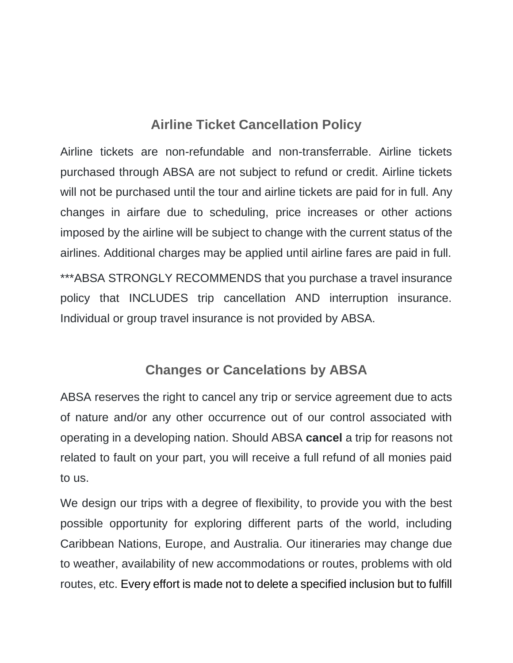### **Airline Ticket Cancellation Policy**

Airline tickets are non-refundable and non-transferrable. Airline tickets purchased through ABSA are not subject to refund or credit. Airline tickets will not be purchased until the tour and airline tickets are paid for in full. Any changes in airfare due to scheduling, price increases or other actions imposed by the airline will be subject to change with the current status of the airlines. Additional charges may be applied until airline fares are paid in full. \*\*\*ABSA STRONGLY RECOMMENDS that you purchase a travel insurance policy that INCLUDES trip cancellation AND interruption insurance. Individual or group travel insurance is not provided by ABSA.

#### **Changes or Cancelations by ABSA**

ABSA reserves the right to cancel any trip or service agreement due to acts of nature and/or any other occurrence out of our control associated with operating in a developing nation. Should ABSA **cancel** a trip for reasons not related to fault on your part, you will receive a full refund of all monies paid to us.

We design our trips with a degree of flexibility, to provide you with the best possible opportunity for exploring different parts of the world, including Caribbean Nations, Europe, and Australia. Our itineraries may change due to weather, availability of new accommodations or routes, problems with old routes, etc. Every effort is made not to delete a specified inclusion but to fulfill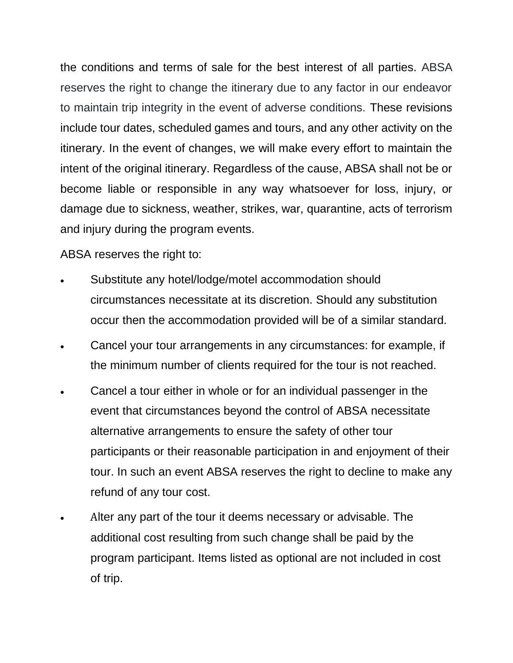the conditions and terms of sale for the best interest of all parties. ABSA reserves the right to change the itinerary due to any factor in our endeavor to maintain trip integrity in the event of adverse conditions. These revisions include tour dates, scheduled games and tours, and any other activity on the itinerary. In the event of changes, we will make every effort to maintain the intent of the original itinerary. Regardless of the cause, ABSA shall not be or become liable or responsible in any way whatsoever for loss, injury, or damage due to sickness, weather, strikes, war, quarantine, acts of terrorism and injury during the program events.

ABSA reserves the right to:

- Substitute any hotel/lodge/motel accommodation should circumstances necessitate at its discretion. Should any substitution occur then the accommodation provided will be of a similar standard.
- Cancel your tour arrangements in any circumstances: for example, if the minimum number of clients required for the tour is not reached.
- Cancel a tour either in whole or for an individual passenger in the event that circumstances beyond the control of ABSA necessitate alternative arrangements to ensure the safety of other tour participants or their reasonable participation in and enjoyment of their tour. In such an event ABSA reserves the right to decline to make any refund of any tour cost.
- Alter any part of the tour it deems necessary or advisable. The additional cost resulting from such change shall be paid by the program participant. Items listed as optional are not included in cost of trip.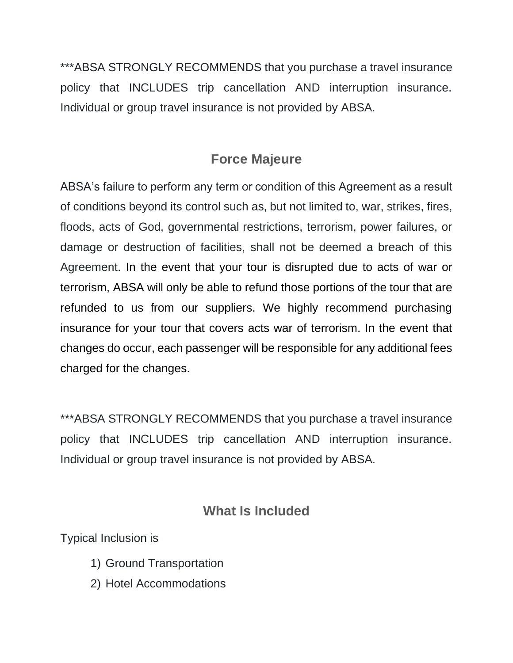\*\*\*ABSA STRONGLY RECOMMENDS that you purchase a travel insurance policy that INCLUDES trip cancellation AND interruption insurance. Individual or group travel insurance is not provided by ABSA.

### **Force Majeure**

ABSA's failure to perform any term or condition of this Agreement as a result of conditions beyond its control such as, but not limited to, war, strikes, fires, floods, acts of God, governmental restrictions, terrorism, power failures, or damage or destruction of facilities, shall not be deemed a breach of this Agreement. In the event that your tour is disrupted due to acts of war or terrorism, ABSA will only be able to refund those portions of the tour that are refunded to us from our suppliers. We highly recommend purchasing insurance for your tour that covers acts war of terrorism. In the event that changes do occur, each passenger will be responsible for any additional fees charged for the changes.

\*\*\*ABSA STRONGLY RECOMMENDS that you purchase a travel insurance policy that INCLUDES trip cancellation AND interruption insurance. Individual or group travel insurance is not provided by ABSA.

### **What Is Included**

Typical Inclusion is

- 1) Ground Transportation
- 2) Hotel Accommodations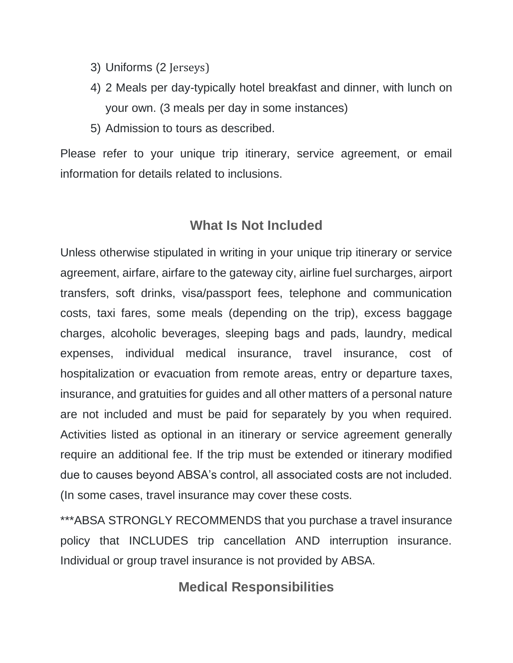- 3) Uniforms (2 Jerseys)
- 4) 2 Meals per day-typically hotel breakfast and dinner, with lunch on your own. (3 meals per day in some instances)
- 5) Admission to tours as described.

Please refer to your unique trip itinerary, service agreement, or email information for details related to inclusions.

#### **What Is Not Included**

Unless otherwise stipulated in writing in your unique trip itinerary or service agreement, airfare, airfare to the gateway city, airline fuel surcharges, airport transfers, soft drinks, visa/passport fees, telephone and communication costs, taxi fares, some meals (depending on the trip), excess baggage charges, alcoholic beverages, sleeping bags and pads, laundry, medical expenses, individual medical insurance, travel insurance, cost of hospitalization or evacuation from remote areas, entry or departure taxes, insurance, and gratuities for guides and all other matters of a personal nature are not included and must be paid for separately by you when required. Activities listed as optional in an itinerary or service agreement generally require an additional fee. If the trip must be extended or itinerary modified due to causes beyond ABSA's control, all associated costs are not included. (In some cases, travel insurance may cover these costs.

\*\*\*ABSA STRONGLY RECOMMENDS that you purchase a travel insurance policy that INCLUDES trip cancellation AND interruption insurance. Individual or group travel insurance is not provided by ABSA.

#### **Medical Responsibilities**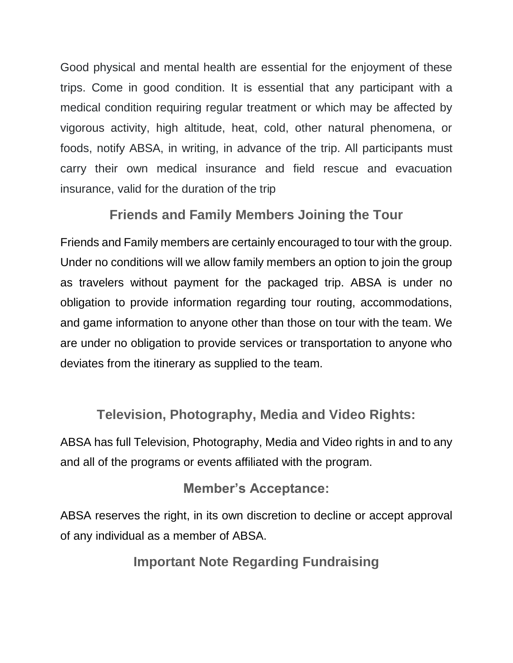Good physical and mental health are essential for the enjoyment of these trips. Come in good condition. It is essential that any participant with a medical condition requiring regular treatment or which may be affected by vigorous activity, high altitude, heat, cold, other natural phenomena, or foods, notify ABSA, in writing, in advance of the trip. All participants must carry their own medical insurance and field rescue and evacuation insurance, valid for the duration of the trip

#### **Friends and Family Members Joining the Tour**

Friends and Family members are certainly encouraged to tour with the group. Under no conditions will we allow family members an option to join the group as travelers without payment for the packaged trip. ABSA is under no obligation to provide information regarding tour routing, accommodations, and game information to anyone other than those on tour with the team. We are under no obligation to provide services or transportation to anyone who deviates from the itinerary as supplied to the team.

### **Television, Photography, Media and Video Rights:**

ABSA has full Television, Photography, Media and Video rights in and to any and all of the programs or events affiliated with the program.

#### **Member's Acceptance:**

ABSA reserves the right, in its own discretion to decline or accept approval of any individual as a member of ABSA.

**Important Note Regarding Fundraising**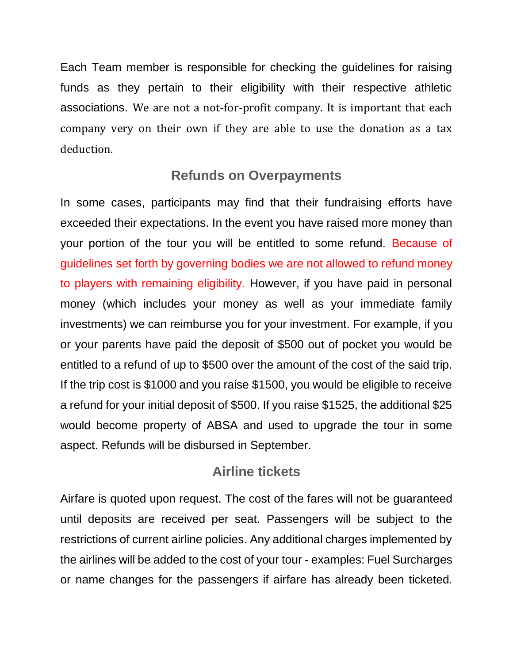Each Team member is responsible for checking the guidelines for raising funds as they pertain to their eligibility with their respective athletic associations. We are not a not-for-profit company. It is important that each company very on their own if they are able to use the donation as a tax deduction.

#### **Refunds on Overpayments**

In some cases, participants may find that their fundraising efforts have exceeded their expectations. In the event you have raised more money than your portion of the tour you will be entitled to some refund. Because of guidelines set forth by governing bodies we are not allowed to refund money to players with remaining eligibility. However, if you have paid in personal money (which includes your money as well as your immediate family investments) we can reimburse you for your investment. For example, if you or your parents have paid the deposit of \$500 out of pocket you would be entitled to a refund of up to \$500 over the amount of the cost of the said trip. If the trip cost is \$1000 and you raise \$1500, you would be eligible to receive a refund for your initial deposit of \$500. If you raise \$1525, the additional \$25 would become property of ABSA and used to upgrade the tour in some aspect. Refunds will be disbursed in September.

#### **Airline tickets**

Airfare is quoted upon request. The cost of the fares will not be guaranteed until deposits are received per seat. Passengers will be subject to the restrictions of current airline policies. Any additional charges implemented by the airlines will be added to the cost of your tour - examples: Fuel Surcharges or name changes for the passengers if airfare has already been ticketed.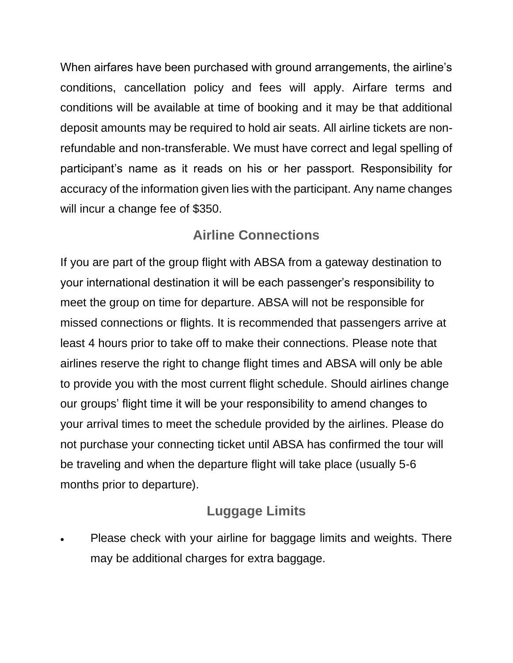When airfares have been purchased with ground arrangements, the airline's conditions, cancellation policy and fees will apply. Airfare terms and conditions will be available at time of booking and it may be that additional deposit amounts may be required to hold air seats. All airline tickets are nonrefundable and non-transferable. We must have correct and legal spelling of participant's name as it reads on his or her passport. Responsibility for accuracy of the information given lies with the participant. Any name changes will incur a change fee of \$350.

### **Airline Connections**

If you are part of the group flight with ABSA from a gateway destination to your international destination it will be each passenger's responsibility to meet the group on time for departure. ABSA will not be responsible for missed connections or flights. It is recommended that passengers arrive at least 4 hours prior to take off to make their connections. Please note that airlines reserve the right to change flight times and ABSA will only be able to provide you with the most current flight schedule. Should airlines change our groups' flight time it will be your responsibility to amend changes to your arrival times to meet the schedule provided by the airlines. Please do not purchase your connecting ticket until ABSA has confirmed the tour will be traveling and when the departure flight will take place (usually 5-6 months prior to departure).

### **Luggage Limits**

• Please check with your airline for baggage limits and weights. There may be additional charges for extra baggage.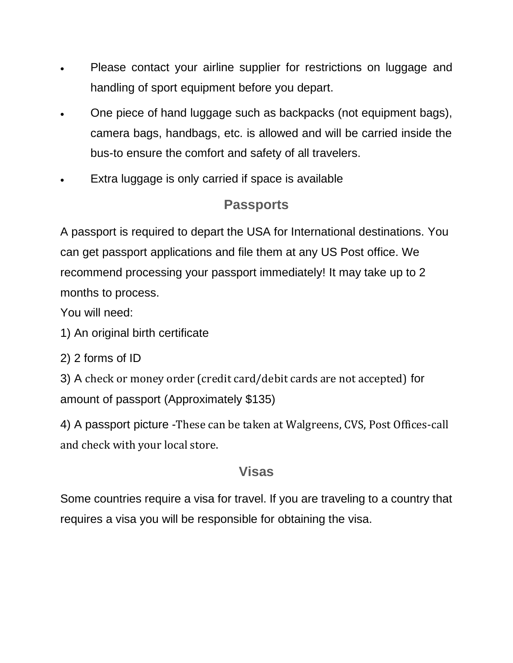- Please contact your airline supplier for restrictions on luggage and handling of sport equipment before you depart.
- One piece of hand luggage such as backpacks (not equipment bags), camera bags, handbags, etc. is allowed and will be carried inside the bus-to ensure the comfort and safety of all travelers.
- Extra luggage is only carried if space is available

# **Passports**

A passport is required to depart the USA for International destinations. You can get passport applications and file them at any US Post office. We recommend processing your passport immediately! It may take up to 2 months to process.

You will need:

- 1) An original birth certificate
- 2) 2 forms of ID

3) A check or money order (credit card/debit cards are not accepted) for amount of passport (Approximately \$135)

4) A passport picture -These can be taken at Walgreens, CVS, Post Offices-call and check with your local store.

### **Visas**

Some countries require a visa for travel. If you are traveling to a country that requires a visa you will be responsible for obtaining the visa.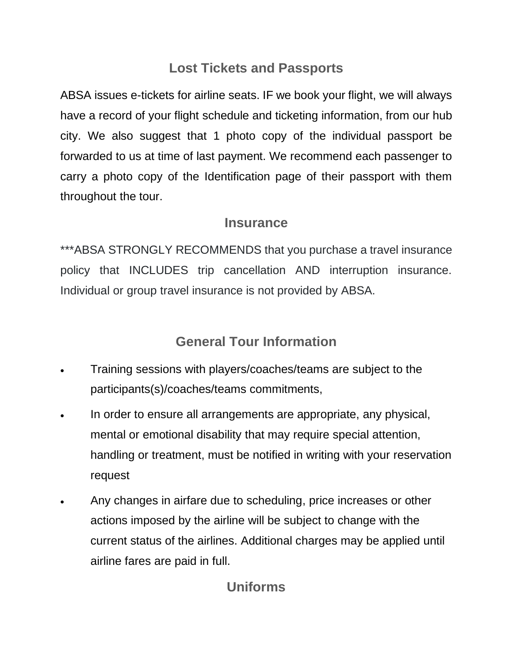### **Lost Tickets and Passports**

ABSA issues e-tickets for airline seats. IF we book your flight, we will always have a record of your flight schedule and ticketing information, from our hub city. We also suggest that 1 photo copy of the individual passport be forwarded to us at time of last payment. We recommend each passenger to carry a photo copy of the Identification page of their passport with them throughout the tour.

#### **Insurance**

\*\*\*ABSA STRONGLY RECOMMENDS that you purchase a travel insurance policy that INCLUDES trip cancellation AND interruption insurance. Individual or group travel insurance is not provided by ABSA.

## **General Tour Information**

- Training sessions with players/coaches/teams are subject to the participants(s)/coaches/teams commitments,
- In order to ensure all arrangements are appropriate, any physical, mental or emotional disability that may require special attention, handling or treatment, must be notified in writing with your reservation request
- Any changes in airfare due to scheduling, price increases or other actions imposed by the airline will be subject to change with the current status of the airlines. Additional charges may be applied until airline fares are paid in full.

# **Uniforms**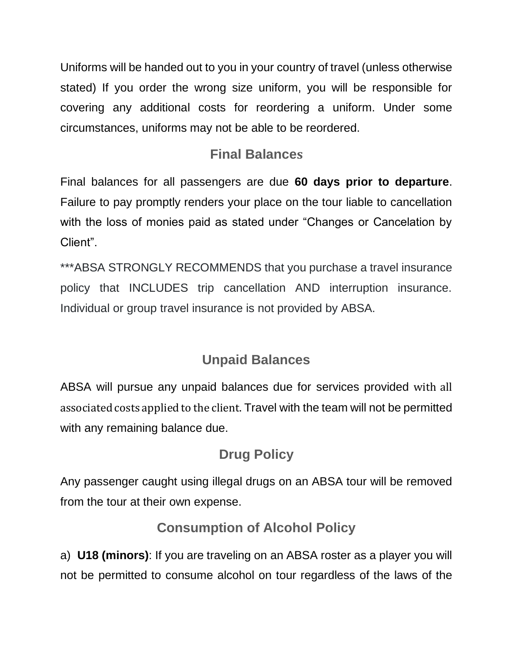Uniforms will be handed out to you in your country of travel (unless otherwise stated) If you order the wrong size uniform, you will be responsible for covering any additional costs for reordering a uniform. Under some circumstances, uniforms may not be able to be reordered.

# **Final Balances**

Final balances for all passengers are due **60 days prior to departure**. Failure to pay promptly renders your place on the tour liable to cancellation with the loss of monies paid as stated under "Changes or Cancelation by Client".

\*\*\*ABSA STRONGLY RECOMMENDS that you purchase a travel insurance policy that INCLUDES trip cancellation AND interruption insurance. Individual or group travel insurance is not provided by ABSA.

# **Unpaid Balances**

ABSA will pursue any unpaid balances due for services provided with all associated costs applied to the client. Travel with the team will not be permitted with any remaining balance due.

# **Drug Policy**

Any passenger caught using illegal drugs on an ABSA tour will be removed from the tour at their own expense.

## **Consumption of Alcohol Policy**

a) **U18 (minors)**: If you are traveling on an ABSA roster as a player you will not be permitted to consume alcohol on tour regardless of the laws of the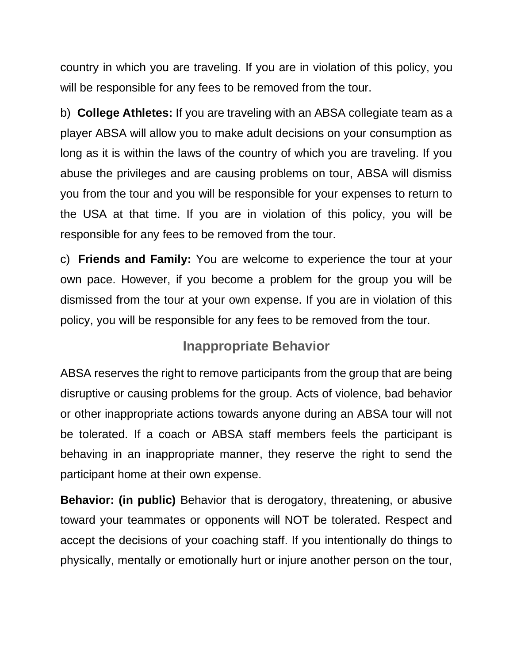country in which you are traveling. If you are in violation of this policy, you will be responsible for any fees to be removed from the tour.

b) **College Athletes:** If you are traveling with an ABSA collegiate team as a player ABSA will allow you to make adult decisions on your consumption as long as it is within the laws of the country of which you are traveling. If you abuse the privileges and are causing problems on tour, ABSA will dismiss you from the tour and you will be responsible for your expenses to return to the USA at that time. If you are in violation of this policy, you will be responsible for any fees to be removed from the tour.

c) **Friends and Family:** You are welcome to experience the tour at your own pace. However, if you become a problem for the group you will be dismissed from the tour at your own expense. If you are in violation of this policy, you will be responsible for any fees to be removed from the tour.

### **Inappropriate Behavior**

ABSA reserves the right to remove participants from the group that are being disruptive or causing problems for the group. Acts of violence, bad behavior or other inappropriate actions towards anyone during an ABSA tour will not be tolerated. If a coach or ABSA staff members feels the participant is behaving in an inappropriate manner, they reserve the right to send the participant home at their own expense.

**Behavior: (in public)** Behavior that is derogatory, threatening, or abusive toward your teammates or opponents will NOT be tolerated. Respect and accept the decisions of your coaching staff. If you intentionally do things to physically, mentally or emotionally hurt or injure another person on the tour,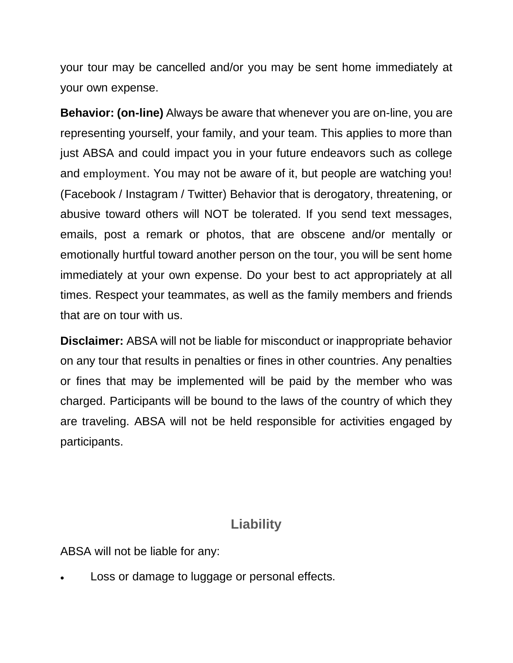your tour may be cancelled and/or you may be sent home immediately at your own expense.

**Behavior: (on-line)** Always be aware that whenever you are on-line, you are representing yourself, your family, and your team. This applies to more than just ABSA and could impact you in your future endeavors such as college and employment. You may not be aware of it, but people are watching you! (Facebook / Instagram / Twitter) Behavior that is derogatory, threatening, or abusive toward others will NOT be tolerated. If you send text messages, emails, post a remark or photos, that are obscene and/or mentally or emotionally hurtful toward another person on the tour, you will be sent home immediately at your own expense. Do your best to act appropriately at all times. Respect your teammates, as well as the family members and friends that are on tour with us.

**Disclaimer:** ABSA will not be liable for misconduct or inappropriate behavior on any tour that results in penalties or fines in other countries. Any penalties or fines that may be implemented will be paid by the member who was charged. Participants will be bound to the laws of the country of which they are traveling. ABSA will not be held responsible for activities engaged by participants.

#### **Liability**

ABSA will not be liable for any:

Loss or damage to luggage or personal effects.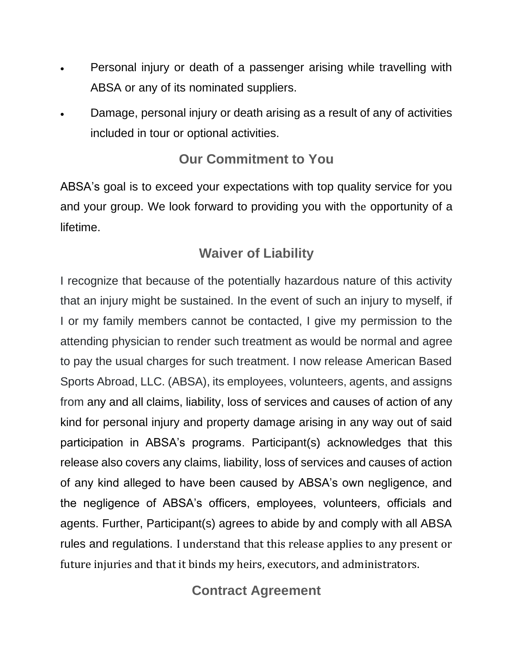- Personal injury or death of a passenger arising while travelling with ABSA or any of its nominated suppliers.
- Damage, personal injury or death arising as a result of any of activities included in tour or optional activities.

## **Our Commitment to You**

ABSA's goal is to exceed your expectations with top quality service for you and your group. We look forward to providing you with the opportunity of a lifetime.

# **Waiver of Liability**

I recognize that because of the potentially hazardous nature of this activity that an injury might be sustained. In the event of such an injury to myself, if I or my family members cannot be contacted, I give my permission to the attending physician to render such treatment as would be normal and agree to pay the usual charges for such treatment. I now release American Based Sports Abroad, LLC. (ABSA), its employees, volunteers, agents, and assigns from any and all claims, liability, loss of services and causes of action of any kind for personal injury and property damage arising in any way out of said participation in ABSA's programs. Participant(s) acknowledges that this release also covers any claims, liability, loss of services and causes of action of any kind alleged to have been caused by ABSA's own negligence, and the negligence of ABSA's officers, employees, volunteers, officials and agents. Further, Participant(s) agrees to abide by and comply with all ABSA rules and regulations. I understand that this release applies to any present or future injuries and that it binds my heirs, executors, and administrators.

# **Contract Agreement**